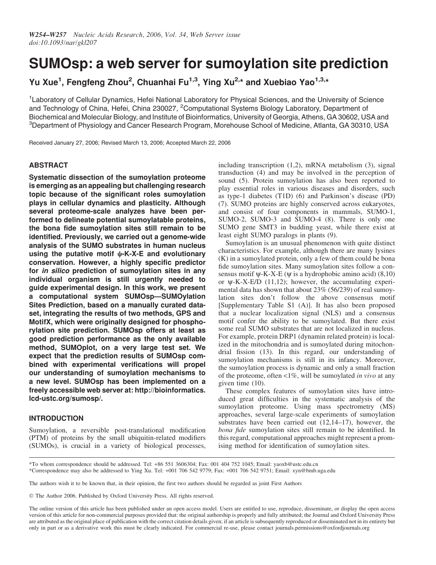# SUMOsp: a web server for sumoylation site prediction

Yu Xue<sup>1</sup>, Fengfeng Zhou<sup>2</sup>, Chuanhai Fu<sup>1,3</sup>, Ying Xu<sup>2,\*</sup> and Xuebiao Yao<sup>1,3,\*</sup>

<sup>1</sup> Laboratory of Cellular Dynamics, Hefei National Laboratory for Physical Sciences, and the University of Science and Technology of China, Hefei, China 230027, <sup>2</sup>Computational Systems Biology Laboratory, Department of Biochemical and Molecular Biology, and Institute of Bioinformatics, University of Georgia, Athens, GA 30602, USA and 3 Department of Physiology and Cancer Research Program, Morehouse School of Medicine, Atlanta, GA 30310, USA

Received January 27, 2006; Revised March 13, 2006; Accepted March 22, 2006

# ABSTRACT

Systematic dissection of the sumoylation proteome is emerging as an appealing but challenging research topic because of the significant roles sumoylation plays in cellular dynamics and plasticity. Although several proteome-scale analyzes have been performed to delineate potential sumoylatable proteins, the bona fide sumoylation sites still remain to be identified. Previously, we carried out a genome-wide analysis of the SUMO substrates in human nucleus using the putative motif  $\psi$ -K-X-E and evolutionary conservation. However, a highly specific predictor for in silico prediction of sumoylation sites in any individual organism is still urgently needed to guide experimental design. In this work, we present a computational system SUMOsp—SUMOylation Sites Prediction, based on a manually curated dataset, integrating the results of two methods, GPS and MotifX, which were originally designed for phosphorylation site prediction. SUMOsp offers at least as good prediction performance as the only available method, SUMOplot, on a very large test set. We expect that the prediction results of SUMOsp combined with experimental verifications will propel our understanding of sumoylation mechanisms to a new level. SUMOsp has been implemented on a freely accessible web server at: http://bioinformatics. lcd-ustc.org/sumosp/.

# INTRODUCTION

Sumoylation, a reversible post-translational modification (PTM) of proteins by the small ubiquitin-related modifiers (SUMOs), is crucial in a variety of biological processes, including transcription (1,2), mRNA metabolism (3), signal transduction (4) and may be involved in the perception of sound (5). Protein sumoylation has also been reported to play essential roles in various diseases and disorders, such as type-1 diabetes (T1D) (6) and Parkinson's disease (PD) (7). SUMO proteins are highly conserved across eukaryotes, and consist of four components in mammals, SUMO-1, SUMO-2, SUMO-3 and SUMO-4 (8). There is only one SUMO gene SMT3 in budding yeast, while there exist at least eight SUMO paralogs in plants (9).

Sumoylation is an unusual phenomenon with quite distinct characteristics. For example, although there are many lysines (K) in a sumoylated protein, only a few of them could be bona fide sumoylation sites. Many sumoylation sites follow a consensus motif  $\psi$ -K-X-E ( $\psi$  is a hydrophobic amino acid) (8,10) or  $\psi$ -K-X-E/D (11,12); however, the accumulating experimental data has shown that about 23% (56/239) of real sumoylation sites don't follow the above consensus motif [Supplementary Table S1 (A)]. It has also been proposed that a nuclear localization signal (NLS) and a consensus motif confer the ability to be sumoylated. But there exist some real SUMO substrates that are not localized in nucleus. For example, protein DRP1 (dynamin related protein) is localized in the mitochondria and is sumoylated during mitochondrial fission (13). In this regard, our understanding of sumoylation mechanisms is still in its infancy. Moreover, the sumoylation process is dynamic and only a small fraction of the proteome, often  $\langle 1\%$ , will be sumoylated in vivo at any given time (10).

These complex features of sumoylation sites have introduced great difficulties in the systematic analysis of the sumoylation proteome. Using mass spectrometry (MS) approaches, several large-scale experiments of sumoylation substrates have been carried out (12,14–17), however, the bona fide sumoylation sites still remain to be identified. In this regard, computational approaches might represent a promising method for identification of sumoylation sites.

The authors wish it to be known that, in their opinion, the first two authors should be regarded as joint First Authors

The Author 2006. Published by Oxford University Press. All rights reserved.

The online version of this article has been published under an open access model. Users are entitled to use, reproduce, disseminate, or display the open access version of this article for non-commercial purposes provided that: the original authorship is properly and fully attributed; the Journal and Oxford University Press are attributed as the original place of publication with the correct citation details given; if an article is subsequently reproduced or disseminated not in its entirety but only in part or as a derivative work this must be clearly indicated. For commercial re-use, please contact journals.permissions@oxfordjournals.org

<sup>\*</sup>To whom correspondence should be addressed. Tel: +86 551 3606304; Fax: 001 404 752 1045; Email: yaoxb@ustc.edu.cn \*Correspondence may also be addressed to Ying Xu. Tel: +001 706 542 9779; Fax: +001 706 542 9751; Email: xyn@bmb.uga.edu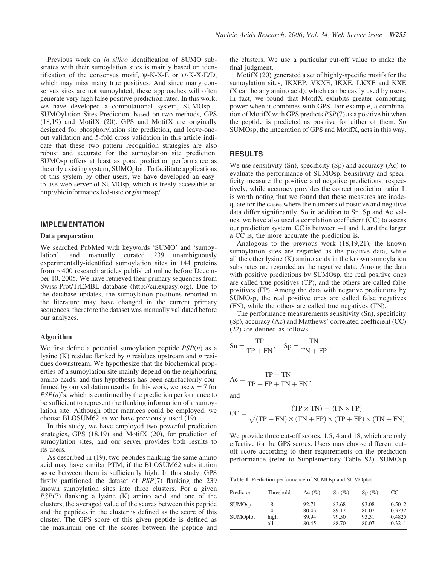Previous work on in silico identification of SUMO substrates with their sumoylation sites is mainly based on identification of the consensus motif,  $\psi$ -K-X-E or  $\psi$ -K-X-E/D, which may miss many true positives. And since many consensus sites are not sumoylated, these approaches will often generate very high false positive prediction rates. In this work, we have developed a computational system, SUMOsp— SUMOylation Sites Prediction, based on two methods, GPS (18,19) and MotifX (20). GPS and MotifX are originally designed for phosphorylation site prediction, and leave-oneout validation and 5-fold cross validation in this article indicate that these two pattern recognition strategies are also robust and accurate for the sumoylation site prediction. SUMOsp offers at least as good prediction performance as the only existing system, SUMOplot. To facilitate applications of this system by other users, we have developed an easyto-use web server of SUMOsp, which is freely accessible at: http://bioinformatics.lcd-ustc.org/sumosp/.

## IMPLEMENTATION

#### Data preparation

We searched PubMed with keywords 'SUMO' and 'sumoylation', and manually curated 239 unambiguously experimentally-identified sumoylation sites in 144 proteins from  $\sim$ 400 research articles published online before December 10, 2005. We have retrieved their primary sequences from Swiss-Prot/TrEMBL database (http://cn.expasy.org). Due to the database updates, the sumoylation positions reported in the literature may have changed in the current primary sequences, therefore the dataset was manually validated before our analyzes.

#### Algorithm

We first define a potential sumoylation peptide  $PSP(n)$  as a lysine (K) residue flanked by  $n$  residues upstream and  $n$  residues downstream. We hypothesize that the biochemical properties of a sumoylation site mainly depend on the neighboring amino acids, and this hypothesis has been satisfactorily confirmed by our validation results. In this work, we use  $n = 7$  for  $PSP(n)$ 's, which is confirmed by the prediction performance to be sufficient to represent the flanking information of a sumoylation site. Although other matrices could be employed, we choose BLOSUM62 as we have previously used (19).

In this study, we have employed two powerful prediction strategies, GPS (18,19) and MotifX (20), for prediction of sumoylation sites, and our server provides both results to its users.

As described in (19), two peptides flanking the same amino acid may have similar PTM, if the BLOSUM62 substitution score between them is sufficiently high. In this study, GPS firstly partitioned the dataset of PSP(7) flanking the 239 known sumoylation sites into three clusters. For a given PSP(7) flanking a lysine (K) amino acid and one of the clusters, the averaged value of the scores between this peptide and the peptides in the cluster is defined as the score of this cluster. The GPS score of this given peptide is defined as the maximum one of the scores between the peptide and the clusters. We use a particular cut-off value to make the final judgment.

MotifX (20) generated a set of highly-specific motifs for the sumoylation sites, IKXEP, VKXE, IKXE, LKXE and KXE (X can be any amino acid), which can be easily used by users. In fact, we found that MotifX exhibits greater computing power when it combines with GPS. For example, a combination of MotifX with GPS predicts PSP(7) as a positive hit when the peptide is predicted as positive for either of them. So SUMOsp, the integration of GPS and MotifX, acts in this way.

#### RESULTS

We use sensitivity (Sn), specificity (Sp) and accuracy (Ac) to evaluate the performance of SUMOsp. Sensitivity and specificity measure the positive and negative predictions, respectively, while accuracy provides the correct prediction ratio. It is worth noting that we found that these measures are inadequate for the cases where the numbers of positive and negative data differ significantly. So in addition to Sn, Sp and Ac values, we have also used a correlation coefficient (CC) to assess our prediction system. CC is between  $-1$  and 1, and the larger a CC is, the more accurate the prediction is.

Analogous to the previous work (18,19,21), the known sumoylation sites are regarded as the positive data, while all the other lysine (K) amino acids in the known sumoylation substrates are regarded as the negative data. Among the data with positive predictions by SUMOsp, the real positive ones are called true positives (TP), and the others are called false positives (FP). Among the data with negative predictions by SUMOsp, the real positive ones are called false negatives (FN), while the others are called true negatives (TN).

The performance measurements sensitivity (Sn), specificity (Sp), accuracy (Ac) and Matthews' correlated coefficient (CC) (22) are defined as follows:

$$
Sn = \frac{TP}{TP + FN}, \quad Sp = \frac{TN}{TN + FP},
$$

$$
Ac = \frac{TP + TN}{TP + FP + TN + FN},
$$

and

$$
CC = \frac{(TP \times TN) - (FN \times FP)}{\sqrt{(TP + FN) \times (TN + FP) \times (TP + FP) \times (TN + FN)}}.
$$

We provide three cut-off scores, 1.5, 4 and 18, which are only effective for the GPS scores. Users may choose different cutoff score according to their requirements on the prediction performance (refer to Supplementary Table S2). SUMOsp

Table 1. Prediction performance of SUMOsp and SUMOplot

| Predictor                | Threshold | Ac $(\% )$ | $Sn(\%)$ | Sp(%) | CC     |
|--------------------------|-----------|------------|----------|-------|--------|
| <b>SUMO<sub>sp</sub></b> | 18        | 92.71      | 83.68    | 93.08 | 0.5012 |
|                          | 4         | 80.43      | 89.12    | 80.07 | 0.3232 |
| <b>SUMOplot</b>          | high      | 89.94      | 79.50    | 93.31 | 0.4825 |
|                          | all       | 80.45      | 88.70    | 80.07 | 0.3211 |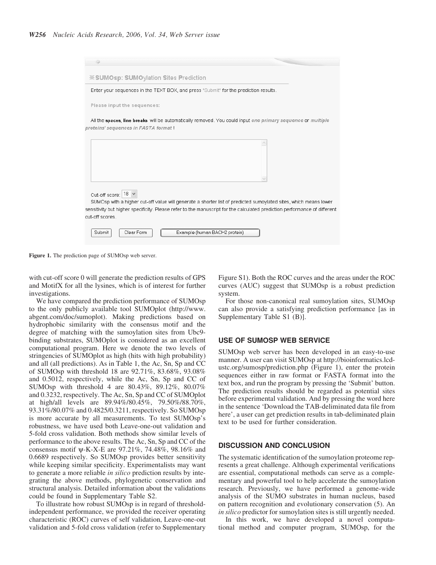| <b><i><b>X</b></i> SUMOsp: SUMOylation Sites Prediction</b>                                                                                        |  |
|----------------------------------------------------------------------------------------------------------------------------------------------------|--|
| Enter your sequences in the TEXT BOX, and press "Submit" for the prediction results.                                                               |  |
| Please input the sequences:                                                                                                                        |  |
| All the spaces, line breaks will be automatically removed. You could input one primary sequence or multiple<br>proteins' sequences in FASTA format |  |
|                                                                                                                                                    |  |
|                                                                                                                                                    |  |
|                                                                                                                                                    |  |
| Cut-off score: 18 v                                                                                                                                |  |
| SUMOsp with a higher cut-off value will generate a shorter list of predicted sumoylated sites, which means lower                                   |  |
| sensitivity but higher specificity. Please refer to the manuscript for the calculated prediction performance of different                          |  |
| cut-off scores.                                                                                                                                    |  |
| <b>Submit</b><br>Clear Form<br>Example (human BACH2 protein)                                                                                       |  |

Figure 1. The prediction page of SUMOsp web server.

with cut-off score 0 will generate the prediction results of GPS and MotifX for all the lysines, which is of interest for further investigations.

We have compared the prediction performance of SUMOsp to the only publicly available tool SUMOplot (http://www. abgent.com/doc/sumoplot). Making predictions based on hydrophobic similarity with the consensus motif and the degree of matching with the sumoylation sites from Ubc9 binding substrates, SUMOplot is considered as an excellent computational program. Here we denote the two levels of stringencies of SUMOplot as high (hits with high probability) and all (all predictions). As in Table 1, the Ac, Sn, Sp and CC of SUMOsp with threshold 18 are 92.71%, 83.68%, 93.08% and 0.5012, respectively, while the Ac, Sn, Sp and CC of SUMOsp with threshold 4 are 80.43%, 89.12%, 80.07% and 0.3232, respectively. The Ac, Sn, Sp and CC of SUMOplot at high/all levels are 89.94%/80.45%, 79.50%/88.70%, 93.31%/80.07% and 0.4825/0.3211, respectively. So SUMOsp is more accurate by all measurements. To test SUMOsp's robustness, we have used both Leave-one-out validation and 5-fold cross validation. Both methods show similar levels of performance to the above results. The Ac, Sn, Sp and CC of the consensus motif y-K-X-E are 97.21%, 74.48%, 98.16% and 0.6689 respectively. So SUMOsp provides better sensitivity while keeping similar specificity. Experimentalists may want to generate a more reliable in silico prediction results by integrating the above methods, phylogenetic conservation and structural analysis. Detailed information about the validations could be found in Supplementary Table S2.

To illustrate how robust SUMOsp is in regard of thresholdindependent performance, we provided the receiver operating characteristic (ROC) curves of self validation, Leave-one-out validation and 5-fold cross validation (refer to Supplementary Figure S1). Both the ROC curves and the areas under the ROC curves (AUC) suggest that SUMOsp is a robust prediction system.

For those non-canonical real sumoylation sites, SUMOsp can also provide a satisfying prediction performance [as in Supplementary Table S1 (B)].

#### USE OF SUMOSP WEB SERVICE

SUMOsp web server has been developed in an easy-to-use manner. A user can visit SUMOsp at http://bioinformatics.lcdustc.org/sumosp/prediction.php (Figure 1), enter the protein sequences either in raw format or FASTA format into the text box, and run the program by pressing the 'Submit' button. The prediction results should be regarded as potential sites before experimental validation. And by pressing the word here in the sentence 'Download the TAB-deliminated data file from here', a user can get prediction results in tab-deliminated plain text to be used for further consideration.

#### DISCUSSION AND CONCLUSION

The systematic identification of the sumoylation proteome represents a great challenge. Although experimental verifications are essential, computational methods can serve as a complementary and powerful tool to help accelerate the sumoylation research. Previously, we have performed a genome-wide analysis of the SUMO substrates in human nucleus, based on pattern recognition and evolutionary conservation (5). An in silico predictor for sumoylation sites is still urgently needed. In this work, we have developed a novel computa-

tional method and computer program, SUMOsp, for the